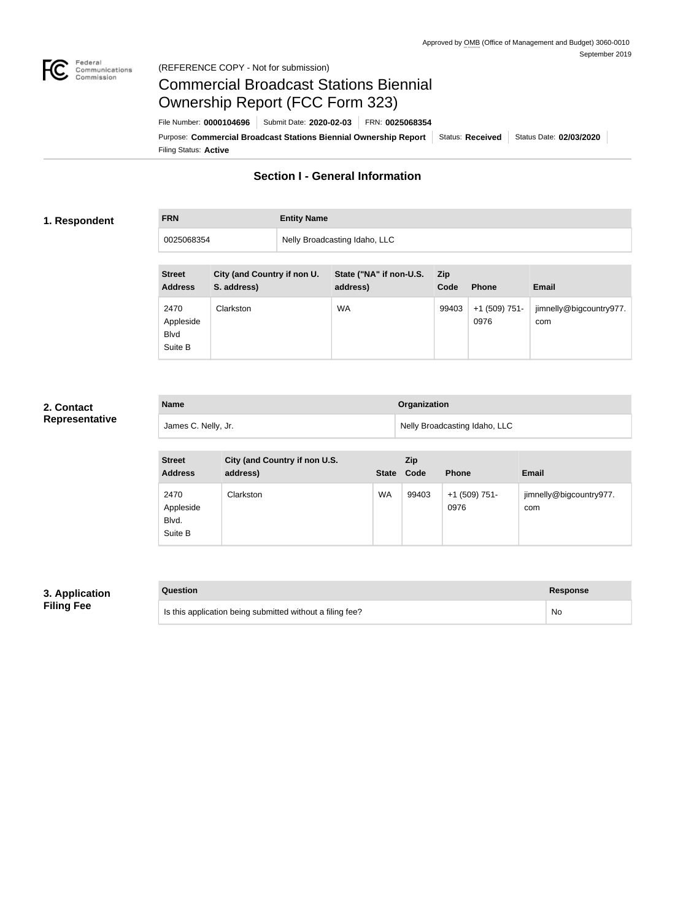

### Federal<br>Communications<br>Commission (REFERENCE COPY - Not for submission)

# Commercial Broadcast Stations Biennial Ownership Report (FCC Form 323)

Filing Status: **Active** Purpose: Commercial Broadcast Stations Biennial Ownership Report Status: Received Status Date: 02/03/2020 File Number: **0000104696** Submit Date: **2020-02-03** FRN: **0025068354**

## **Section I - General Information**

### **1. Respondent**

**FRN Entity Name** 0025068354 Nelly Broadcasting Idaho, LLC

| <b>Street</b><br><b>Address</b>             | City (and Country if non U.<br>S. address) | State ("NA" if non-U.S.<br>address) | <b>Zip</b><br>Code | <b>Phone</b>          | <b>Email</b>                   |
|---------------------------------------------|--------------------------------------------|-------------------------------------|--------------------|-----------------------|--------------------------------|
| 2470<br>Appleside<br><b>Blvd</b><br>Suite B | <b>Clarkston</b>                           | <b>WA</b>                           | 99403              | +1 (509) 751-<br>0976 | jimnelly@bigcountry977.<br>com |

### **2. Contact Representative**

| <b>Name</b>         | Organization                  |
|---------------------|-------------------------------|
| James C. Nelly, Jr. | Nelly Broadcasting Idaho, LLC |

| <b>Street</b><br><b>Address</b>       | City (and Country if non U.S.<br>address) | <b>State</b> | Zip<br>Code | <b>Phone</b>            | <b>Email</b>                   |
|---------------------------------------|-------------------------------------------|--------------|-------------|-------------------------|--------------------------------|
| 2470<br>Appleside<br>Blvd.<br>Suite B | Clarkston                                 | WA           | 99403       | $+1$ (509) 751-<br>0976 | jimnelly@bigcountry977.<br>com |

### **3. Application Filing Fee**

| Question                                                  | <b>Response</b> |
|-----------------------------------------------------------|-----------------|
| Is this application being submitted without a filing fee? | No              |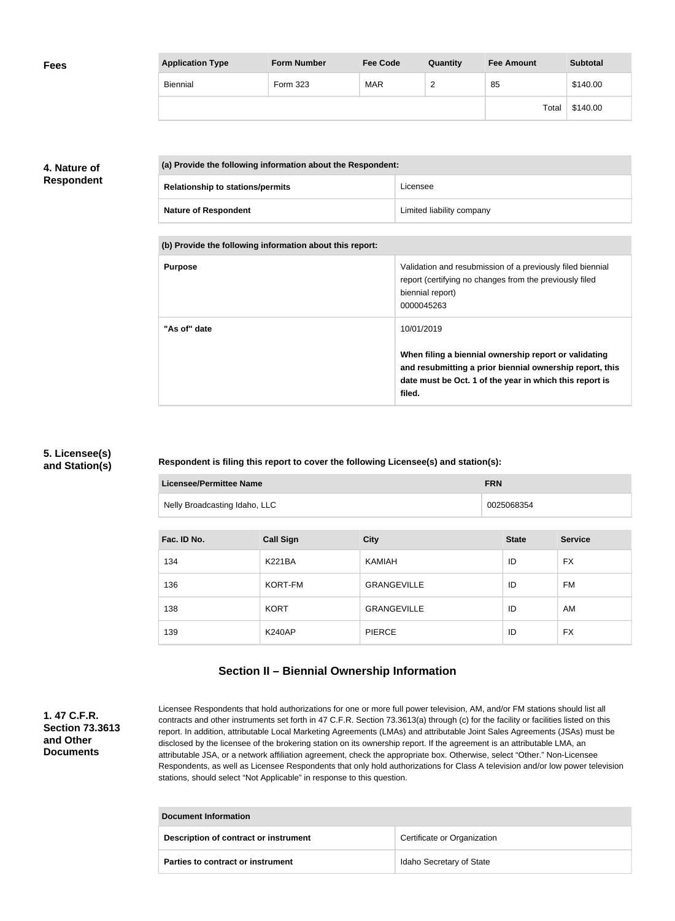| <b>Fees</b> | <b>Application Type</b> | <b>Form Number</b> | <b>Fee Code</b> | Quantity | <b>Fee Amount</b> | <b>Subtotal</b> |
|-------------|-------------------------|--------------------|-----------------|----------|-------------------|-----------------|
|             | Biennial                | Form 323           | <b>MAR</b>      | ◠<br>_   | 85                | \$140.00        |
|             |                         |                    |                 |          | Total             | \$140.00        |

## **4. Nature of Respondent**

| (a) Provide the following information about the Respondent: |                           |  |
|-------------------------------------------------------------|---------------------------|--|
| <b>Relationship to stations/permits</b>                     | Licensee                  |  |
| <b>Nature of Respondent</b>                                 | Limited liability company |  |

**(b) Provide the following information about this report:**

| <b>Purpose</b> | Validation and resubmission of a previously filed biennial<br>report (certifying no changes from the previously filed<br>biennial report)<br>0000045263                                              |
|----------------|------------------------------------------------------------------------------------------------------------------------------------------------------------------------------------------------------|
| "As of" date   | 10/01/2019<br>When filing a biennial ownership report or validating<br>and resubmitting a prior biennial ownership report, this<br>date must be Oct. 1 of the year in which this report is<br>filed. |

### **5. Licensee(s) and Station(s)**

### **Respondent is filing this report to cover the following Licensee(s) and station(s):**

| Licensee/Permittee Name       | <b>FRN</b> |
|-------------------------------|------------|
| Nelly Broadcasting Idaho, LLC | 0025068354 |

| Fac. ID No. | <b>Call Sign</b> | <b>City</b>        | <b>State</b> | <b>Service</b> |
|-------------|------------------|--------------------|--------------|----------------|
| 134         | <b>K221BA</b>    | <b>KAMIAH</b>      | ID           | <b>FX</b>      |
| 136         | KORT-FM          | <b>GRANGEVILLE</b> | ID           | FM             |
| 138         | <b>KORT</b>      | <b>GRANGEVILLE</b> | ID           | AM             |
| 139         | <b>K240AP</b>    | <b>PIERCE</b>      | ID           | <b>FX</b>      |

## **Section II – Biennial Ownership Information**

### **1. 47 C.F.R. Section 73.3613 and Other Documents**

Licensee Respondents that hold authorizations for one or more full power television, AM, and/or FM stations should list all contracts and other instruments set forth in 47 C.F.R. Section 73.3613(a) through (c) for the facility or facilities listed on this report. In addition, attributable Local Marketing Agreements (LMAs) and attributable Joint Sales Agreements (JSAs) must be disclosed by the licensee of the brokering station on its ownership report. If the agreement is an attributable LMA, an attributable JSA, or a network affiliation agreement, check the appropriate box. Otherwise, select "Other." Non-Licensee Respondents, as well as Licensee Respondents that only hold authorizations for Class A television and/or low power television stations, should select "Not Applicable" in response to this question.

| Document Information                     |                             |  |
|------------------------------------------|-----------------------------|--|
| Description of contract or instrument    | Certificate or Organization |  |
| <b>Parties to contract or instrument</b> | Idaho Secretary of State    |  |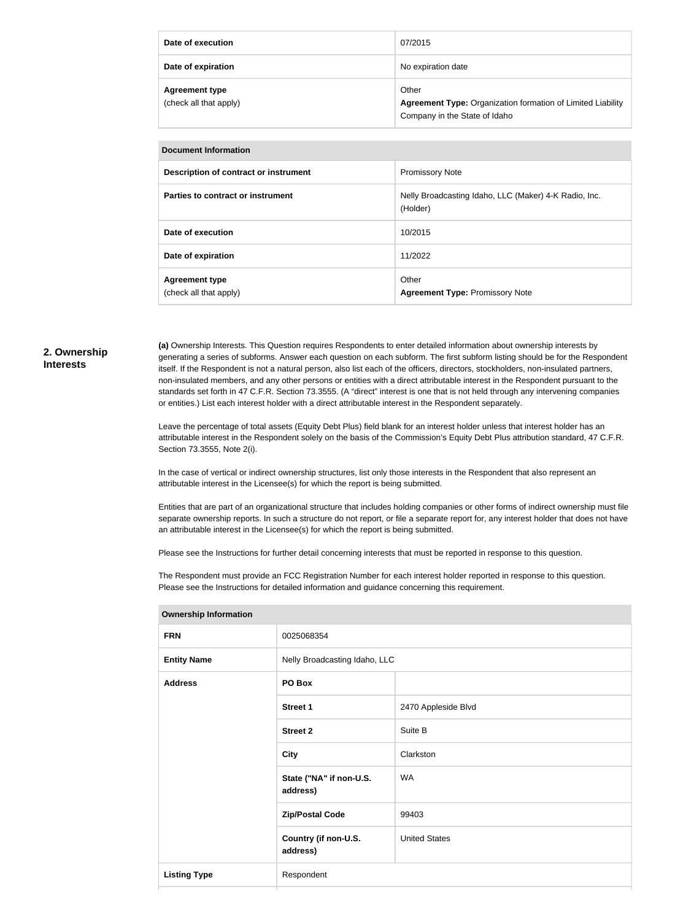| Date of execution                               | 07/2015                                                                                                      |
|-------------------------------------------------|--------------------------------------------------------------------------------------------------------------|
| Date of expiration                              | No expiration date                                                                                           |
| <b>Agreement type</b><br>(check all that apply) | Other<br><b>Agreement Type: Organization formation of Limited Liability</b><br>Company in the State of Idaho |

| Description of contract or instrument | <b>Promissory Note</b>                                            |
|---------------------------------------|-------------------------------------------------------------------|
| Parties to contract or instrument     | Nelly Broadcasting Idaho, LLC (Maker) 4-K Radio, Inc.<br>(Holder) |
| Date of execution                     | 10/2015                                                           |
| Date of expiration                    | 11/2022                                                           |
| <b>Agreement type</b>                 | Other                                                             |
| (check all that apply)                | <b>Agreement Type: Promissory Note</b>                            |

### **2. Ownership Interests**

**(a)** Ownership Interests. This Question requires Respondents to enter detailed information about ownership interests by generating a series of subforms. Answer each question on each subform. The first subform listing should be for the Respondent itself. If the Respondent is not a natural person, also list each of the officers, directors, stockholders, non-insulated partners, non-insulated members, and any other persons or entities with a direct attributable interest in the Respondent pursuant to the standards set forth in 47 C.F.R. Section 73.3555. (A "direct" interest is one that is not held through any intervening companies or entities.) List each interest holder with a direct attributable interest in the Respondent separately.

Leave the percentage of total assets (Equity Debt Plus) field blank for an interest holder unless that interest holder has an attributable interest in the Respondent solely on the basis of the Commission's Equity Debt Plus attribution standard, 47 C.F.R. Section 73.3555, Note 2(i).

In the case of vertical or indirect ownership structures, list only those interests in the Respondent that also represent an attributable interest in the Licensee(s) for which the report is being submitted.

Entities that are part of an organizational structure that includes holding companies or other forms of indirect ownership must file separate ownership reports. In such a structure do not report, or file a separate report for, any interest holder that does not have an attributable interest in the Licensee(s) for which the report is being submitted.

Please see the Instructions for further detail concerning interests that must be reported in response to this question.

The Respondent must provide an FCC Registration Number for each interest holder reported in response to this question. Please see the Instructions for detailed information and guidance concerning this requirement.

| <b>FRN</b>          | 0025068354                          |                      |
|---------------------|-------------------------------------|----------------------|
| <b>Entity Name</b>  | Nelly Broadcasting Idaho, LLC       |                      |
| <b>Address</b>      | PO Box                              |                      |
|                     | Street 1                            | 2470 Appleside Blvd  |
|                     | <b>Street 2</b>                     | Suite B              |
|                     | <b>City</b>                         | Clarkston            |
|                     | State ("NA" if non-U.S.<br>address) | WA                   |
|                     | <b>Zip/Postal Code</b>              | 99403                |
|                     | Country (if non-U.S.<br>address)    | <b>United States</b> |
| <b>Listing Type</b> | Respondent                          |                      |
|                     |                                     |                      |

**Ownership Information**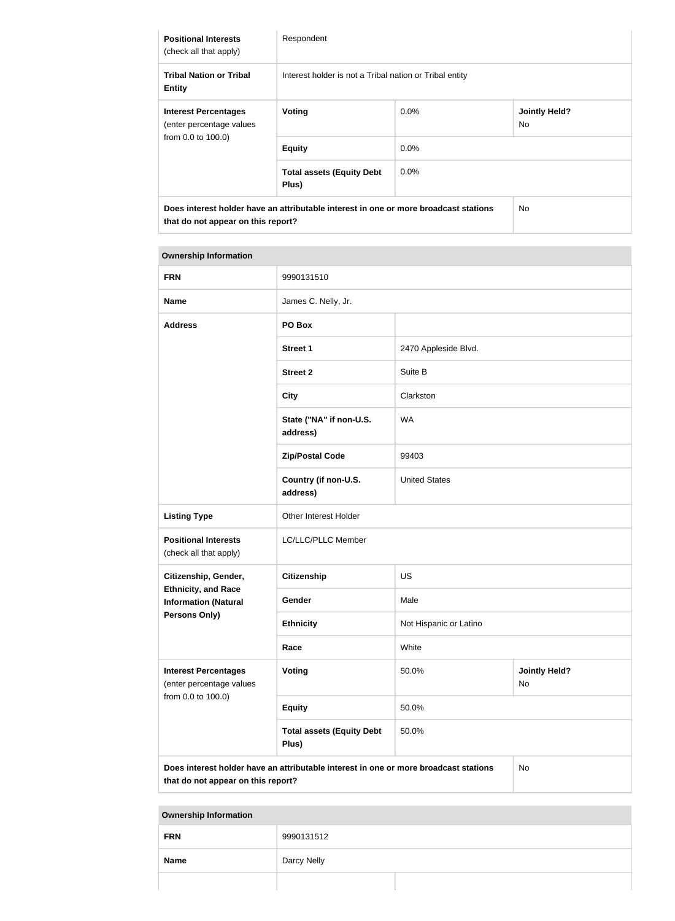| <b>Positional Interests</b><br>(check all that apply)   | Respondent                                                                           |         |                             |
|---------------------------------------------------------|--------------------------------------------------------------------------------------|---------|-----------------------------|
| <b>Tribal Nation or Tribal</b><br><b>Entity</b>         | Interest holder is not a Tribal nation or Tribal entity                              |         |                             |
| <b>Interest Percentages</b><br>(enter percentage values | Voting                                                                               | $0.0\%$ | <b>Jointly Held?</b><br>No. |
| from 0.0 to 100.0)                                      | <b>Equity</b>                                                                        | $0.0\%$ |                             |
|                                                         | <b>Total assets (Equity Debt</b><br>Plus)                                            | $0.0\%$ |                             |
| that do not appear on this report?                      | Does interest holder have an attributable interest in one or more broadcast stations |         | N <sub>o</sub>              |

### **Ownership Information**

| <b>FRN</b>                                                | 9990131510                                                                           |                        |                            |  |
|-----------------------------------------------------------|--------------------------------------------------------------------------------------|------------------------|----------------------------|--|
| <b>Name</b>                                               | James C. Nelly, Jr.                                                                  |                        |                            |  |
| <b>Address</b>                                            | PO Box                                                                               |                        |                            |  |
|                                                           | <b>Street 1</b>                                                                      | 2470 Appleside Blvd.   |                            |  |
|                                                           | <b>Street 2</b>                                                                      | Suite B                |                            |  |
|                                                           | <b>City</b>                                                                          | Clarkston              |                            |  |
|                                                           | State ("NA" if non-U.S.<br>address)                                                  | <b>WA</b>              |                            |  |
|                                                           | <b>Zip/Postal Code</b>                                                               | 99403                  |                            |  |
|                                                           | Country (if non-U.S.<br>address)                                                     | <b>United States</b>   |                            |  |
| <b>Listing Type</b>                                       | Other Interest Holder                                                                |                        |                            |  |
| <b>Positional Interests</b><br>(check all that apply)     | LC/LLC/PLLC Member                                                                   |                        |                            |  |
| Citizenship, Gender,                                      | <b>Citizenship</b>                                                                   | <b>US</b>              |                            |  |
| <b>Ethnicity, and Race</b><br><b>Information (Natural</b> | Gender                                                                               | Male                   |                            |  |
| <b>Persons Only)</b>                                      | <b>Ethnicity</b>                                                                     | Not Hispanic or Latino |                            |  |
|                                                           | Race                                                                                 | White                  |                            |  |
| <b>Interest Percentages</b><br>(enter percentage values   | Voting                                                                               | 50.0%                  | <b>Jointly Held?</b><br>No |  |
| from 0.0 to 100.0)                                        | <b>Equity</b>                                                                        | 50.0%                  |                            |  |
|                                                           | <b>Total assets (Equity Debt</b><br>Plus)                                            | 50.0%                  |                            |  |
|                                                           | Does interest holder have an attributable interest in one or more broadcast stations |                        | No                         |  |

**that do not appear on this report?**

### **Ownership Information**

| <b>FRN</b>  | 9990131512  |  |
|-------------|-------------|--|
| <b>Name</b> | Darcy Nelly |  |
|             |             |  |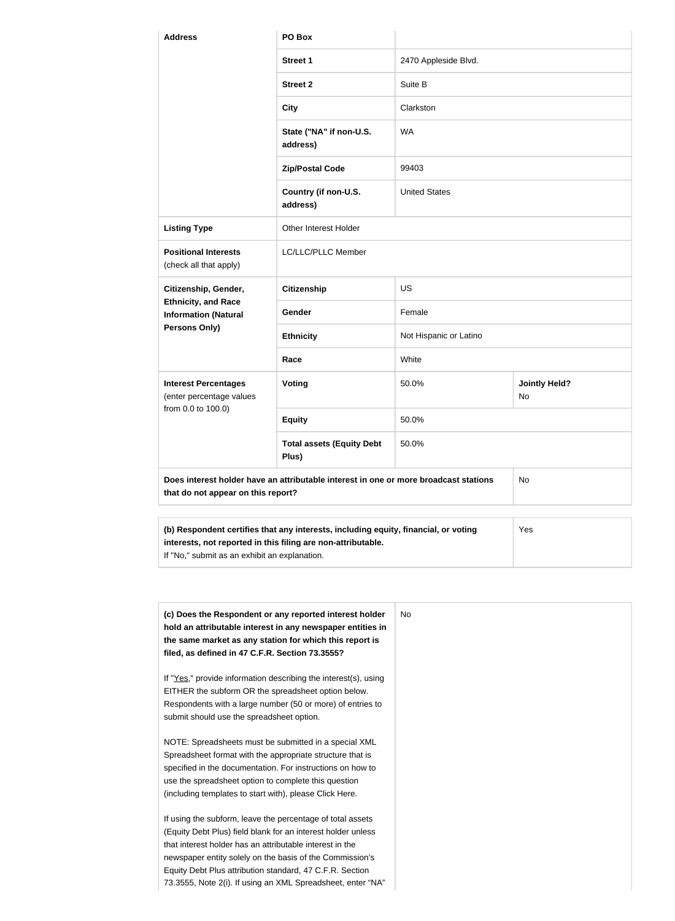| <b>Address</b>                                            | PO Box                                                                               |                        |                            |  |
|-----------------------------------------------------------|--------------------------------------------------------------------------------------|------------------------|----------------------------|--|
|                                                           | Street 1                                                                             | 2470 Appleside Blvd.   |                            |  |
|                                                           | <b>Street 2</b>                                                                      | Suite B                |                            |  |
|                                                           | <b>City</b>                                                                          | Clarkston              |                            |  |
|                                                           | State ("NA" if non-U.S.<br>address)                                                  | <b>WA</b>              |                            |  |
|                                                           | <b>Zip/Postal Code</b>                                                               | 99403                  |                            |  |
|                                                           | Country (if non-U.S.<br>address)                                                     | <b>United States</b>   |                            |  |
| <b>Listing Type</b>                                       | Other Interest Holder                                                                |                        |                            |  |
| <b>Positional Interests</b><br>(check all that apply)     | LC/LLC/PLLC Member                                                                   |                        |                            |  |
| Citizenship, Gender,                                      | <b>Citizenship</b>                                                                   | <b>US</b>              |                            |  |
| <b>Ethnicity, and Race</b><br><b>Information (Natural</b> | Gender                                                                               | Female                 |                            |  |
| <b>Persons Only)</b>                                      | <b>Ethnicity</b>                                                                     | Not Hispanic or Latino |                            |  |
|                                                           | Race                                                                                 | White                  |                            |  |
| <b>Interest Percentages</b><br>(enter percentage values   | <b>Voting</b>                                                                        | 50.0%                  | <b>Jointly Held?</b><br>No |  |
| from 0.0 to 100.0)                                        | <b>Equity</b>                                                                        | 50.0%                  |                            |  |
|                                                           | <b>Total assets (Equity Debt</b><br>Plus)                                            | 50.0%                  |                            |  |
| that do not appear on this report?                        | Does interest holder have an attributable interest in one or more broadcast stations |                        | No                         |  |

| (b) Respondent certifies that any interests, including equity, financial, or voting | Yes |
|-------------------------------------------------------------------------------------|-----|
| interests, not reported in this filing are non-attributable.                        |     |
| If "No," submit as an exhibit an explanation.                                       |     |

| (c) Does the Respondent or any reported interest holder<br>hold an attributable interest in any newspaper entities in<br>the same market as any station for which this report is<br>filed, as defined in 47 C.F.R. Section 73.3555?                                                                                                                                           |
|-------------------------------------------------------------------------------------------------------------------------------------------------------------------------------------------------------------------------------------------------------------------------------------------------------------------------------------------------------------------------------|
| If "Yes," provide information describing the interest(s), using<br>EITHER the subform OR the spreadsheet option below.<br>Respondents with a large number (50 or more) of entries to<br>submit should use the spreadsheet option.                                                                                                                                             |
| NOTE: Spreadsheets must be submitted in a special XML<br>Spreadsheet format with the appropriate structure that is<br>specified in the documentation. For instructions on how to<br>use the spreadsheet option to complete this question<br>(including templates to start with), please Click Here.                                                                           |
| If using the subform, leave the percentage of total assets<br>(Equity Debt Plus) field blank for an interest holder unless<br>that interest holder has an attributable interest in the<br>newspaper entity solely on the basis of the Commission's<br>Equity Debt Plus attribution standard, 47 C.F.R. Section<br>73.3555, Note 2(i). If using an XML Spreadsheet, enter "NA" |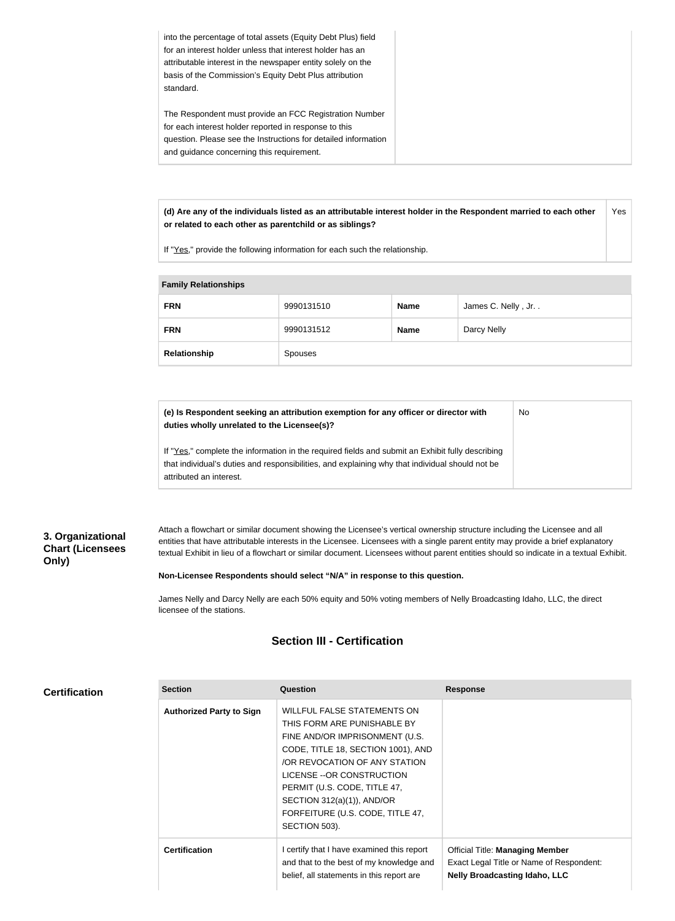| into the percentage of total assets (Equity Debt Plus) field<br>for an interest holder unless that interest holder has an<br>attributable interest in the newspaper entity solely on the<br>basis of the Commission's Equity Debt Plus attribution<br>standard. |  |
|-----------------------------------------------------------------------------------------------------------------------------------------------------------------------------------------------------------------------------------------------------------------|--|
| The Respondent must provide an FCC Registration Number<br>for each interest holder reported in response to this<br>question. Please see the Instructions for detailed information<br>and guidance concerning this requirement.                                  |  |

**(d) Are any of the individuals listed as an attributable interest holder in the Respondent married to each other or related to each other as parentchild or as siblings?** Yes

If "Yes," provide the following information for each such the relationship.

#### **Family Relationships**

| <b>FRN</b>   | 9990131510 | <b>Name</b> | James C. Nelly, Jr |
|--------------|------------|-------------|--------------------|
| <b>FRN</b>   | 9990131512 | <b>Name</b> | Darcy Nelly        |
| Relationship | Spouses    |             |                    |

No

**(e) Is Respondent seeking an attribution exemption for any officer or director with duties wholly unrelated to the Licensee(s)?**

If "Yes," complete the information in the required fields and submit an Exhibit fully describing that individual's duties and responsibilities, and explaining why that individual should not be attributed an interest.

### **3. Organizational Chart (Licensees Only)**

Attach a flowchart or similar document showing the Licensee's vertical ownership structure including the Licensee and all entities that have attributable interests in the Licensee. Licensees with a single parent entity may provide a brief explanatory textual Exhibit in lieu of a flowchart or similar document. Licensees without parent entities should so indicate in a textual Exhibit.

**Non-Licensee Respondents should select "N/A" in response to this question.**

James Nelly and Darcy Nelly are each 50% equity and 50% voting members of Nelly Broadcasting Idaho, LLC, the direct licensee of the stations.

### **Section III - Certification**

| <b>Section</b>                  | Question                                   | <b>Response</b>                          |
|---------------------------------|--------------------------------------------|------------------------------------------|
| <b>Authorized Party to Sign</b> | <b>WILLFUL FALSE STATEMENTS ON</b>         |                                          |
|                                 | THIS FORM ARE PUNISHABLE BY                |                                          |
|                                 | FINE AND/OR IMPRISONMENT (U.S.             |                                          |
|                                 | CODE, TITLE 18, SECTION 1001), AND         |                                          |
|                                 | /OR REVOCATION OF ANY STATION              |                                          |
|                                 | LICENSE -- OR CONSTRUCTION                 |                                          |
|                                 | PERMIT (U.S. CODE, TITLE 47,               |                                          |
|                                 | SECTION $312(a)(1)$ ), AND/OR              |                                          |
|                                 | FORFEITURE (U.S. CODE, TITLE 47,           |                                          |
|                                 | SECTION 503).                              |                                          |
| <b>Certification</b>            | I certify that I have examined this report | <b>Official Title: Managing Member</b>   |
|                                 | and that to the best of my knowledge and   | Exact Legal Title or Name of Respondent: |
|                                 | belief, all statements in this report are  | <b>Nelly Broadcasting Idaho, LLC</b>     |
|                                 |                                            |                                          |

### **Certification**